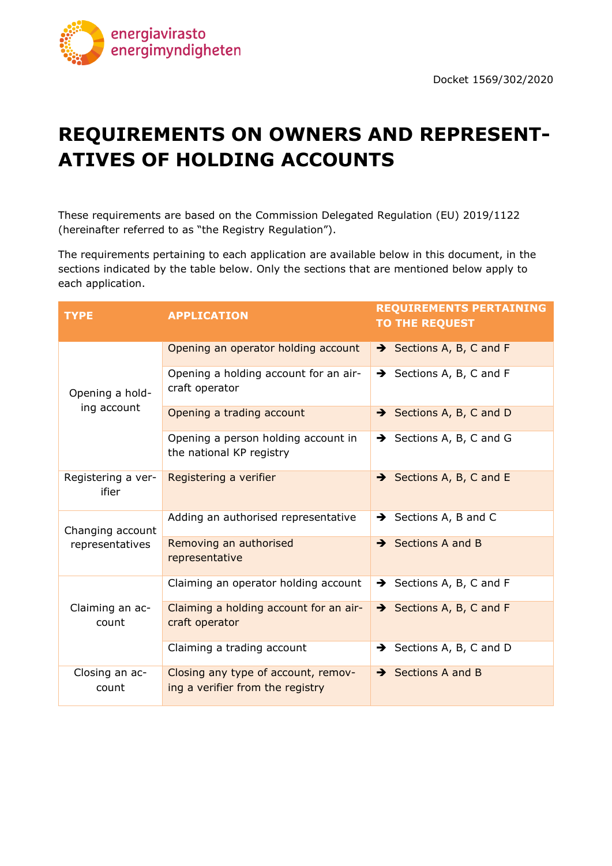

# **REQUIREMENTS ON OWNERS AND REPRESENT-ATIVES OF HOLDING ACCOUNTS**

These requirements are based on the Commission Delegated Regulation (EU) 2019/1122 (hereinafter referred to as "the Registry Regulation").

The requirements pertaining to each application are available below in this document, in the sections indicated by the table below. Only the sections that are mentioned below apply to each application.

| <b>TYPE</b>                         | <b>APPLICATION</b>                                                      | <b>REQUIREMENTS PERTAINING</b><br><b>TO THE REQUEST</b> |
|-------------------------------------|-------------------------------------------------------------------------|---------------------------------------------------------|
|                                     | Opening an operator holding account                                     | $\rightarrow$ Sections A, B, C and F                    |
| Opening a hold-                     | Opening a holding account for an air-<br>craft operator                 | $\rightarrow$ Sections A, B, C and F                    |
| ing account                         | Opening a trading account                                               | Sections A, B, C and D                                  |
|                                     | Opening a person holding account in<br>the national KP registry         | $\rightarrow$ Sections A, B, C and G                    |
| Registering a ver-<br>ifier         | Registering a verifier                                                  | $\rightarrow$ Sections A, B, C and E                    |
| Changing account<br>representatives | Adding an authorised representative                                     | $\rightarrow$ Sections A, B and C                       |
|                                     | Removing an authorised<br>representative                                | $\rightarrow$ Sections A and B                          |
|                                     | Claiming an operator holding account                                    | $\rightarrow$ Sections A, B, C and F                    |
| Claiming an ac-<br>count            | Claiming a holding account for an air-<br>craft operator                | $\rightarrow$ Sections A, B, C and F                    |
|                                     | Claiming a trading account                                              | $\rightarrow$ Sections A, B, C and D                    |
| Closing an ac-<br>count             | Closing any type of account, remov-<br>ing a verifier from the registry | $\rightarrow$ Sections A and B                          |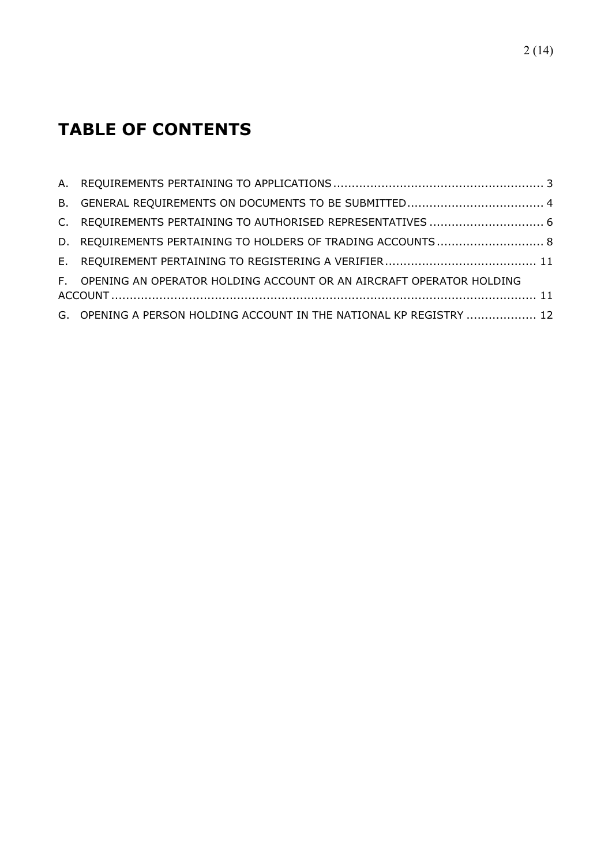## **TABLE OF CONTENTS**

| C. REQUIREMENTS PERTAINING TO AUTHORISED REPRESENTATIVES  6            |  |
|------------------------------------------------------------------------|--|
| D. REQUIREMENTS PERTAINING TO HOLDERS OF TRADING ACCOUNTS 8            |  |
|                                                                        |  |
| F. OPENING AN OPERATOR HOLDING ACCOUNT OR AN AIRCRAFT OPERATOR HOLDING |  |
| G. OPENING A PERSON HOLDING ACCOUNT IN THE NATIONAL KP REGISTRY  12    |  |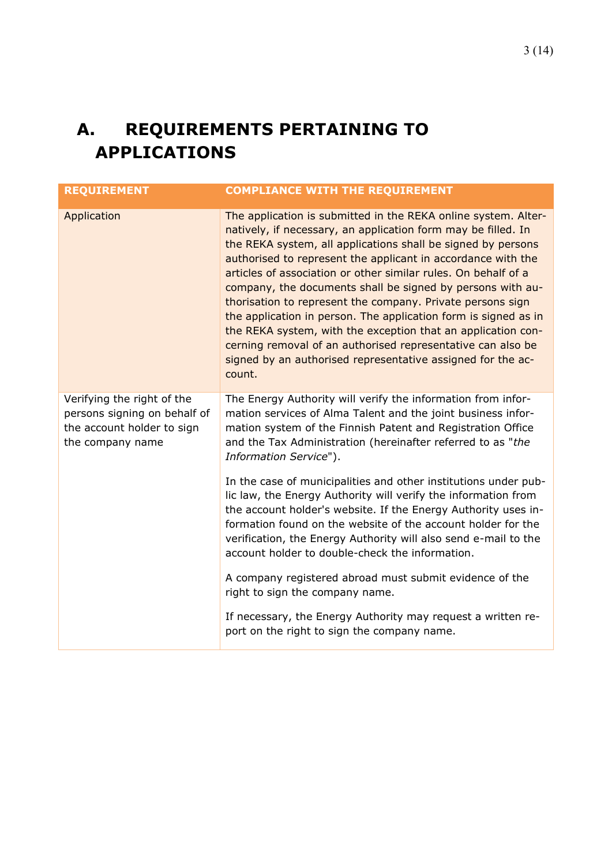## <span id="page-2-0"></span>**A. REQUIREMENTS PERTAINING TO APPLICATIONS**

| <b>REQUIREMENT</b>                                                                                           | <b>COMPLIANCE WITH THE REQUIREMENT</b>                                                                                                                                                                                                                                                                                                                                                                                                                                                                                                                                                                                                                                                                                                   |
|--------------------------------------------------------------------------------------------------------------|------------------------------------------------------------------------------------------------------------------------------------------------------------------------------------------------------------------------------------------------------------------------------------------------------------------------------------------------------------------------------------------------------------------------------------------------------------------------------------------------------------------------------------------------------------------------------------------------------------------------------------------------------------------------------------------------------------------------------------------|
| Application                                                                                                  | The application is submitted in the REKA online system. Alter-<br>natively, if necessary, an application form may be filled. In<br>the REKA system, all applications shall be signed by persons<br>authorised to represent the applicant in accordance with the<br>articles of association or other similar rules. On behalf of a<br>company, the documents shall be signed by persons with au-<br>thorisation to represent the company. Private persons sign<br>the application in person. The application form is signed as in<br>the REKA system, with the exception that an application con-<br>cerning removal of an authorised representative can also be<br>signed by an authorised representative assigned for the ac-<br>count. |
| Verifying the right of the<br>persons signing on behalf of<br>the account holder to sign<br>the company name | The Energy Authority will verify the information from infor-<br>mation services of Alma Talent and the joint business infor-<br>mation system of the Finnish Patent and Registration Office<br>and the Tax Administration (hereinafter referred to as "the<br>Information Service").                                                                                                                                                                                                                                                                                                                                                                                                                                                     |
|                                                                                                              | In the case of municipalities and other institutions under pub-<br>lic law, the Energy Authority will verify the information from<br>the account holder's website. If the Energy Authority uses in-<br>formation found on the website of the account holder for the<br>verification, the Energy Authority will also send e-mail to the<br>account holder to double-check the information.                                                                                                                                                                                                                                                                                                                                                |
|                                                                                                              | A company registered abroad must submit evidence of the<br>right to sign the company name.                                                                                                                                                                                                                                                                                                                                                                                                                                                                                                                                                                                                                                               |
|                                                                                                              | If necessary, the Energy Authority may request a written re-<br>port on the right to sign the company name.                                                                                                                                                                                                                                                                                                                                                                                                                                                                                                                                                                                                                              |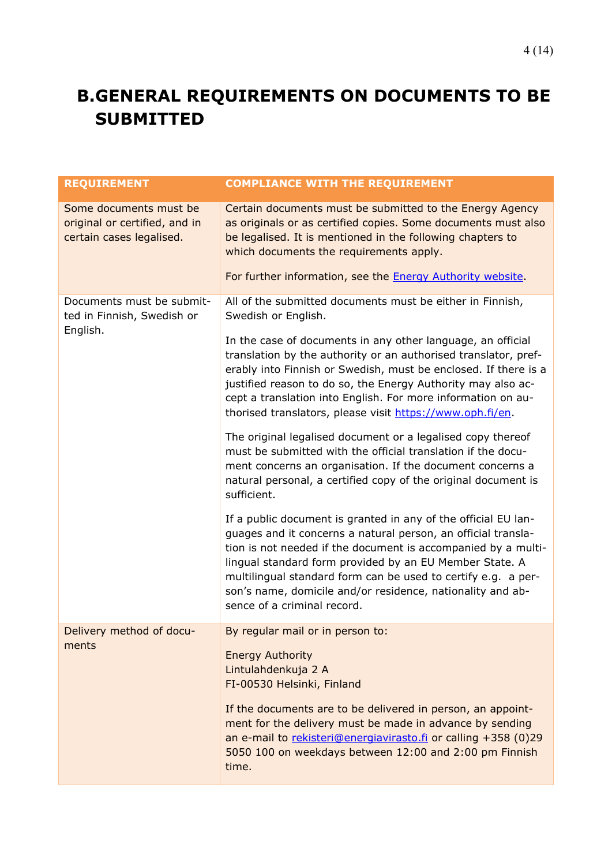## <span id="page-3-0"></span>**B.GENERAL REQUIREMENTS ON DOCUMENTS TO BE SUBMITTED**

| <b>REQUIREMENT</b>                                                                  | <b>COMPLIANCE WITH THE REQUIREMENT</b>                                                                                                                                                                                                                                                                                                                                                                                    |
|-------------------------------------------------------------------------------------|---------------------------------------------------------------------------------------------------------------------------------------------------------------------------------------------------------------------------------------------------------------------------------------------------------------------------------------------------------------------------------------------------------------------------|
| Some documents must be<br>original or certified, and in<br>certain cases legalised. | Certain documents must be submitted to the Energy Agency<br>as originals or as certified copies. Some documents must also<br>be legalised. It is mentioned in the following chapters to<br>which documents the requirements apply.                                                                                                                                                                                        |
|                                                                                     | For further information, see the Energy Authority website.                                                                                                                                                                                                                                                                                                                                                                |
| Documents must be submit-<br>ted in Finnish, Swedish or                             | All of the submitted documents must be either in Finnish,<br>Swedish or English.                                                                                                                                                                                                                                                                                                                                          |
| English.                                                                            | In the case of documents in any other language, an official<br>translation by the authority or an authorised translator, pref-<br>erably into Finnish or Swedish, must be enclosed. If there is a<br>justified reason to do so, the Energy Authority may also ac-<br>cept a translation into English. For more information on au-<br>thorised translators, please visit https://www.oph.fi/en.                            |
|                                                                                     | The original legalised document or a legalised copy thereof<br>must be submitted with the official translation if the docu-<br>ment concerns an organisation. If the document concerns a<br>natural personal, a certified copy of the original document is<br>sufficient.                                                                                                                                                 |
|                                                                                     | If a public document is granted in any of the official EU lan-<br>guages and it concerns a natural person, an official transla-<br>tion is not needed if the document is accompanied by a multi-<br>lingual standard form provided by an EU Member State. A<br>multilingual standard form can be used to certify e.g. a per-<br>son's name, domicile and/or residence, nationality and ab-<br>sence of a criminal record. |
| Delivery method of docu-<br>ments                                                   | By regular mail or in person to:                                                                                                                                                                                                                                                                                                                                                                                          |
|                                                                                     | <b>Energy Authority</b><br>Lintulahdenkuja 2 A<br>FI-00530 Helsinki, Finland                                                                                                                                                                                                                                                                                                                                              |
|                                                                                     | If the documents are to be delivered in person, an appoint-<br>ment for the delivery must be made in advance by sending<br>an e-mail to rekisteri@energiavirasto.fi or calling +358 (0)29<br>5050 100 on weekdays between 12:00 and 2:00 pm Finnish<br>time.                                                                                                                                                              |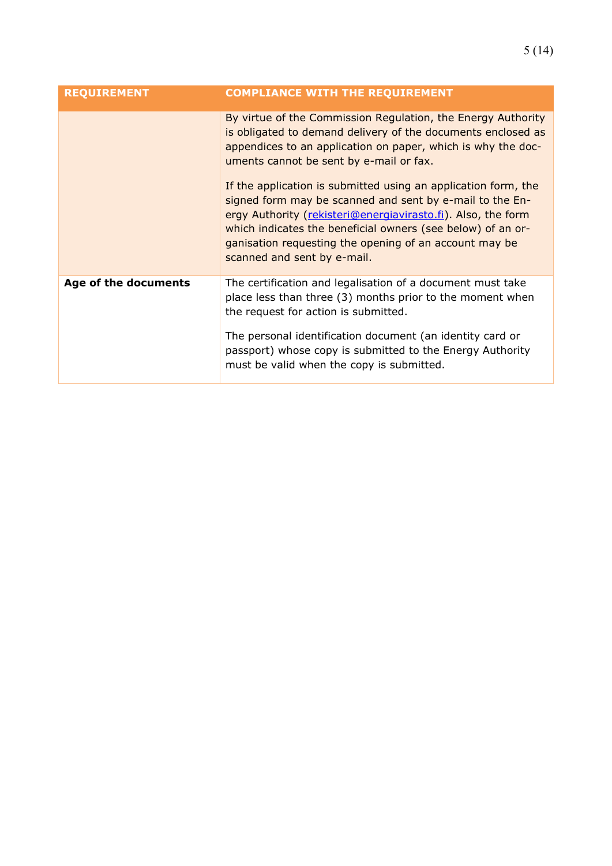| <b>REQUIREMENT</b>   | <b>COMPLIANCE WITH THE REQUIREMENT</b>                                                                                                                                                                                                                                                                                                                                                                                                                                                                                                                                                        |
|----------------------|-----------------------------------------------------------------------------------------------------------------------------------------------------------------------------------------------------------------------------------------------------------------------------------------------------------------------------------------------------------------------------------------------------------------------------------------------------------------------------------------------------------------------------------------------------------------------------------------------|
|                      | By virtue of the Commission Regulation, the Energy Authority<br>is obligated to demand delivery of the documents enclosed as<br>appendices to an application on paper, which is why the doc-<br>uments cannot be sent by e-mail or fax.<br>If the application is submitted using an application form, the<br>signed form may be scanned and sent by e-mail to the En-<br>ergy Authority (rekisteri@energiavirasto.fi). Also, the form<br>which indicates the beneficial owners (see below) of an or-<br>ganisation requesting the opening of an account may be<br>scanned and sent by e-mail. |
| Age of the documents | The certification and legalisation of a document must take<br>place less than three (3) months prior to the moment when<br>the request for action is submitted.<br>The personal identification document (an identity card or<br>passport) whose copy is submitted to the Energy Authority<br>must be valid when the copy is submitted.                                                                                                                                                                                                                                                        |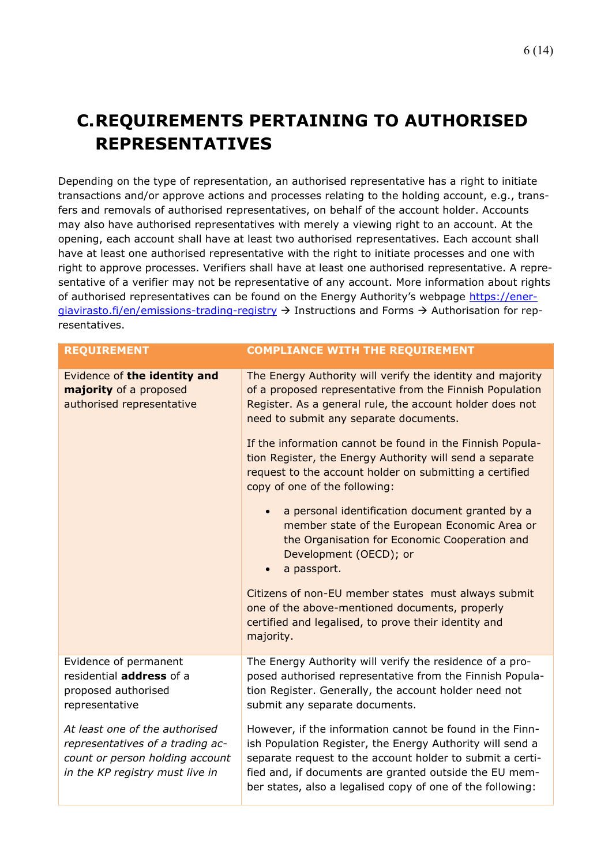## 6 (14)

## <span id="page-5-0"></span>**C.REQUIREMENTS PERTAINING TO AUTHORISED REPRESENTATIVES**

Depending on the type of representation, an authorised representative has a right to initiate transactions and/or approve actions and processes relating to the holding account, e.g., transfers and removals of authorised representatives, on behalf of the account holder. Accounts may also have authorised representatives with merely a viewing right to an account. At the opening, each account shall have at least two authorised representatives. Each account shall have at least one authorised representative with the right to initiate processes and one with right to approve processes. Verifiers shall have at least one authorised representative. A representative of a verifier may not be representative of any account. More information about rights of authorised representatives can be found on the Energy Authority's webpage [https://ener](https://energiavirasto.fi/en/emissions-trading-registry)[giavirasto.fi/en/emissions-trading-registry](https://energiavirasto.fi/en/emissions-trading-registry) → Instructions and Forms → Authorisation for representatives.

| <b>REQUIREMENT</b>                                                                                                                       | <b>COMPLIANCE WITH THE REQUIREMENT</b>                                                                                                                                                                                                                                                                                                                                                                                                            |
|------------------------------------------------------------------------------------------------------------------------------------------|---------------------------------------------------------------------------------------------------------------------------------------------------------------------------------------------------------------------------------------------------------------------------------------------------------------------------------------------------------------------------------------------------------------------------------------------------|
| Evidence of the identity and<br>majority of a proposed<br>authorised representative                                                      | The Energy Authority will verify the identity and majority<br>of a proposed representative from the Finnish Population<br>Register. As a general rule, the account holder does not<br>need to submit any separate documents.<br>If the information cannot be found in the Finnish Popula-<br>tion Register, the Energy Authority will send a separate<br>request to the account holder on submitting a certified<br>copy of one of the following: |
|                                                                                                                                          | a personal identification document granted by a<br>$\bullet$<br>member state of the European Economic Area or<br>the Organisation for Economic Cooperation and<br>Development (OECD); or<br>a passport.<br>Citizens of non-EU member states must always submit                                                                                                                                                                                    |
|                                                                                                                                          | one of the above-mentioned documents, properly<br>certified and legalised, to prove their identity and<br>majority.                                                                                                                                                                                                                                                                                                                               |
| Evidence of permanent<br>residential address of a<br>proposed authorised<br>representative                                               | The Energy Authority will verify the residence of a pro-<br>posed authorised representative from the Finnish Popula-<br>tion Register. Generally, the account holder need not<br>submit any separate documents.                                                                                                                                                                                                                                   |
| At least one of the authorised<br>representatives of a trading ac-<br>count or person holding account<br>in the KP registry must live in | However, if the information cannot be found in the Finn-<br>ish Population Register, the Energy Authority will send a<br>separate request to the account holder to submit a certi-<br>fied and, if documents are granted outside the EU mem-<br>ber states, also a legalised copy of one of the following:                                                                                                                                        |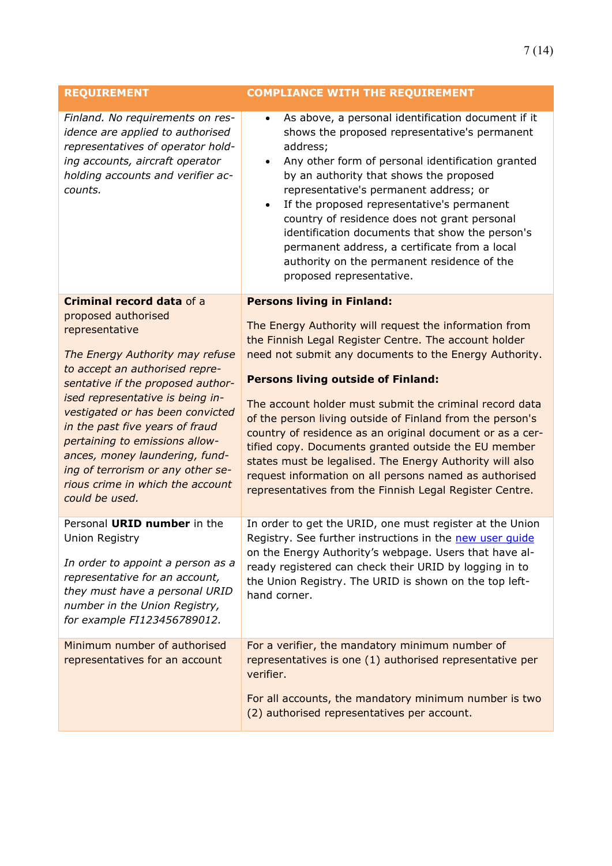| <b>REQUIREMENT</b>                                                                                                                                                                                                                                                                                                                                                                                                        | <b>COMPLIANCE WITH THE REQUIREMENT</b>                                                                                                                                                                                                                                                                                                                                                                                                                                                                                                                                                                                                               |
|---------------------------------------------------------------------------------------------------------------------------------------------------------------------------------------------------------------------------------------------------------------------------------------------------------------------------------------------------------------------------------------------------------------------------|------------------------------------------------------------------------------------------------------------------------------------------------------------------------------------------------------------------------------------------------------------------------------------------------------------------------------------------------------------------------------------------------------------------------------------------------------------------------------------------------------------------------------------------------------------------------------------------------------------------------------------------------------|
| Finland. No requirements on res-<br>idence are applied to authorised<br>representatives of operator hold-<br>ing accounts, aircraft operator<br>holding accounts and verifier ac-<br>counts.                                                                                                                                                                                                                              | As above, a personal identification document if it<br>$\bullet$<br>shows the proposed representative's permanent<br>address;<br>Any other form of personal identification granted<br>$\bullet$<br>by an authority that shows the proposed<br>representative's permanent address; or<br>If the proposed representative's permanent<br>$\bullet$<br>country of residence does not grant personal<br>identification documents that show the person's<br>permanent address, a certificate from a local<br>authority on the permanent residence of the<br>proposed representative.                                                                        |
| Criminal record data of a                                                                                                                                                                                                                                                                                                                                                                                                 | <b>Persons living in Finland:</b>                                                                                                                                                                                                                                                                                                                                                                                                                                                                                                                                                                                                                    |
| proposed authorised<br>representative<br>The Energy Authority may refuse<br>to accept an authorised repre-<br>sentative if the proposed author-<br>ised representative is being in-<br>vestigated or has been convicted<br>in the past five years of fraud<br>pertaining to emissions allow-<br>ances, money laundering, fund-<br>ing of terrorism or any other se-<br>rious crime in which the account<br>could be used. | The Energy Authority will request the information from<br>the Finnish Legal Register Centre. The account holder<br>need not submit any documents to the Energy Authority.<br><b>Persons living outside of Finland:</b><br>The account holder must submit the criminal record data<br>of the person living outside of Finland from the person's<br>country of residence as an original document or as a cer-<br>tified copy. Documents granted outside the EU member<br>states must be legalised. The Energy Authority will also<br>request information on all persons named as authorised<br>representatives from the Finnish Legal Register Centre. |
| Personal URID number in the<br><b>Union Registry</b><br>In order to appoint a person as a<br>representative for an account,<br>they must have a personal URID<br>number in the Union Registry,<br>for example FI123456789012.                                                                                                                                                                                             | In order to get the URID, one must register at the Union<br>Registry. See further instructions in the new user quide<br>on the Energy Authority's webpage. Users that have al-<br>ready registered can check their URID by logging in to<br>the Union Registry. The URID is shown on the top left-<br>hand corner.                                                                                                                                                                                                                                                                                                                                   |
| Minimum number of authorised<br>representatives for an account                                                                                                                                                                                                                                                                                                                                                            | For a verifier, the mandatory minimum number of<br>representatives is one (1) authorised representative per<br>verifier.<br>For all accounts, the mandatory minimum number is two<br>(2) authorised representatives per account.                                                                                                                                                                                                                                                                                                                                                                                                                     |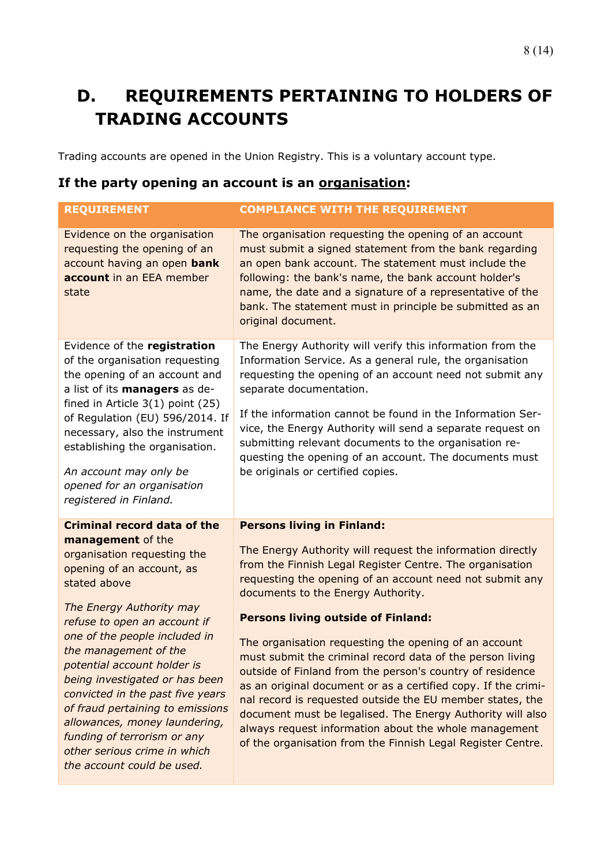## <span id="page-7-0"></span>**D. REQUIREMENTS PERTAINING TO HOLDERS OF TRADING ACCOUNTS**

Trading accounts are opened in the Union Registry. This is a voluntary account type.

### **If the party opening an account is an organisation:**

| <b>REQUIREMENT</b>                                                                                                                                                                                                                                                                                                                                                                                                                                                                                                               | <b>COMPLIANCE WITH THE REQUIREMENT</b>                                                                                                                                                                                                                                                                                                                                                                                                                                                            |
|----------------------------------------------------------------------------------------------------------------------------------------------------------------------------------------------------------------------------------------------------------------------------------------------------------------------------------------------------------------------------------------------------------------------------------------------------------------------------------------------------------------------------------|---------------------------------------------------------------------------------------------------------------------------------------------------------------------------------------------------------------------------------------------------------------------------------------------------------------------------------------------------------------------------------------------------------------------------------------------------------------------------------------------------|
| Evidence on the organisation<br>requesting the opening of an<br>account having an open bank<br>account in an EEA member<br>state                                                                                                                                                                                                                                                                                                                                                                                                 | The organisation requesting the opening of an account<br>must submit a signed statement from the bank regarding<br>an open bank account. The statement must include the<br>following: the bank's name, the bank account holder's<br>name, the date and a signature of a representative of the<br>bank. The statement must in principle be submitted as an<br>original document.                                                                                                                   |
| Evidence of the registration<br>of the organisation requesting<br>the opening of an account and<br>a list of its managers as de-<br>fined in Article 3(1) point (25)<br>of Regulation (EU) 596/2014. If<br>necessary, also the instrument<br>establishing the organisation.<br>An account may only be<br>opened for an organisation<br>registered in Finland.                                                                                                                                                                    | The Energy Authority will verify this information from the<br>Information Service. As a general rule, the organisation<br>requesting the opening of an account need not submit any<br>separate documentation.<br>If the information cannot be found in the Information Ser-<br>vice, the Energy Authority will send a separate request on<br>submitting relevant documents to the organisation re-<br>questing the opening of an account. The documents must<br>be originals or certified copies. |
| <b>Criminal record data of the</b><br>management of the<br>organisation requesting the<br>opening of an account, as<br>stated above<br>The Energy Authority may<br>refuse to open an account if<br>one of the people included in<br>the management of the<br>potential account holder is<br>being investigated or has been<br>convicted in the past five years<br>of fraud pertaining to emissions<br>allowances, money laundering,<br>funding of terrorism or any<br>other serious crime in which<br>the account could be used. | <b>Persons living in Finland:</b><br>The Energy Authority will request the information directly<br>from the Finnish Legal Register Centre. The organisation<br>requesting the opening of an account need not submit any<br>documents to the Energy Authority.<br><b>Persons living outside of Finland:</b><br>The organisation requesting the opening of an account                                                                                                                               |
|                                                                                                                                                                                                                                                                                                                                                                                                                                                                                                                                  | must submit the criminal record data of the person living<br>outside of Finland from the person's country of residence<br>as an original document or as a certified copy. If the crimi-<br>nal record is requested outside the EU member states, the<br>document must be legalised. The Energy Authority will also<br>always request information about the whole management<br>of the organisation from the Finnish Legal Register Centre.                                                        |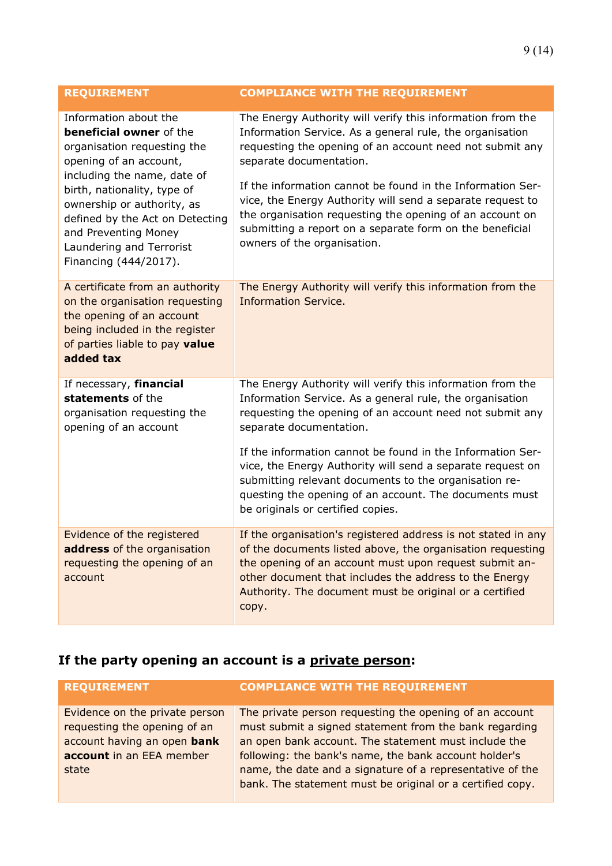| <b>REQUIREMENT</b>                                                                                                                                                                                                                                                                                                           | <b>COMPLIANCE WITH THE REQUIREMENT</b>                                                                                                                                                                                                                                                                                                                                                                                                                                                            |
|------------------------------------------------------------------------------------------------------------------------------------------------------------------------------------------------------------------------------------------------------------------------------------------------------------------------------|---------------------------------------------------------------------------------------------------------------------------------------------------------------------------------------------------------------------------------------------------------------------------------------------------------------------------------------------------------------------------------------------------------------------------------------------------------------------------------------------------|
| Information about the<br><b>beneficial owner</b> of the<br>organisation requesting the<br>opening of an account,<br>including the name, date of<br>birth, nationality, type of<br>ownership or authority, as<br>defined by the Act on Detecting<br>and Preventing Money<br>Laundering and Terrorist<br>Financing (444/2017). | The Energy Authority will verify this information from the<br>Information Service. As a general rule, the organisation<br>requesting the opening of an account need not submit any<br>separate documentation.<br>If the information cannot be found in the Information Ser-<br>vice, the Energy Authority will send a separate request to<br>the organisation requesting the opening of an account on<br>submitting a report on a separate form on the beneficial<br>owners of the organisation.  |
| A certificate from an authority<br>on the organisation requesting<br>the opening of an account<br>being included in the register<br>of parties liable to pay value<br>added tax                                                                                                                                              | The Energy Authority will verify this information from the<br><b>Information Service.</b>                                                                                                                                                                                                                                                                                                                                                                                                         |
| If necessary, financial<br>statements of the<br>organisation requesting the<br>opening of an account                                                                                                                                                                                                                         | The Energy Authority will verify this information from the<br>Information Service. As a general rule, the organisation<br>requesting the opening of an account need not submit any<br>separate documentation.<br>If the information cannot be found in the Information Ser-<br>vice, the Energy Authority will send a separate request on<br>submitting relevant documents to the organisation re-<br>questing the opening of an account. The documents must<br>be originals or certified copies. |
| Evidence of the registered<br>address of the organisation<br>requesting the opening of an<br>account                                                                                                                                                                                                                         | If the organisation's registered address is not stated in any<br>of the documents listed above, the organisation requesting<br>the opening of an account must upon request submit an-<br>other document that includes the address to the Energy<br>Authority. The document must be original or a certified<br>copy.                                                                                                                                                                               |

### **If the party opening an account is a private person:**

| <b>REQUIREMENT</b>                                                                                                                 | <b>COMPLIANCE WITH THE REQUIREMENT</b>                                                                                                                                                                                                                                                                                                                       |
|------------------------------------------------------------------------------------------------------------------------------------|--------------------------------------------------------------------------------------------------------------------------------------------------------------------------------------------------------------------------------------------------------------------------------------------------------------------------------------------------------------|
| Evidence on the private person<br>requesting the opening of an<br>account having an open bank<br>account in an EEA member<br>state | The private person requesting the opening of an account<br>must submit a signed statement from the bank regarding<br>an open bank account. The statement must include the<br>following: the bank's name, the bank account holder's<br>name, the date and a signature of a representative of the<br>bank. The statement must be original or a certified copy. |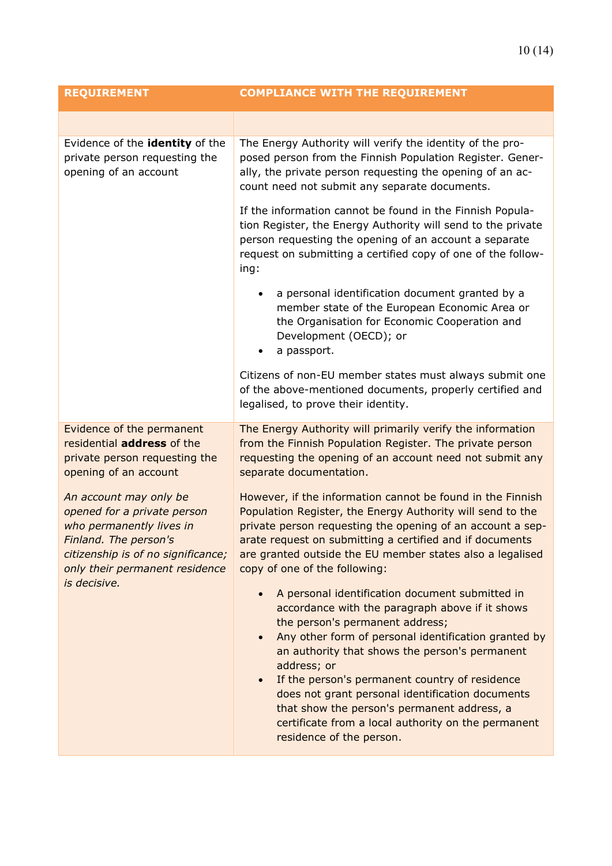| <b>REQUIREMENT</b>                                                                                                                                                                 | <b>COMPLIANCE WITH THE REQUIREMENT</b>                                                                                                                                                                                                                                                                                                                                                                                                                                                                                                        |
|------------------------------------------------------------------------------------------------------------------------------------------------------------------------------------|-----------------------------------------------------------------------------------------------------------------------------------------------------------------------------------------------------------------------------------------------------------------------------------------------------------------------------------------------------------------------------------------------------------------------------------------------------------------------------------------------------------------------------------------------|
|                                                                                                                                                                                    |                                                                                                                                                                                                                                                                                                                                                                                                                                                                                                                                               |
| Evidence of the identity of the<br>private person requesting the<br>opening of an account                                                                                          | The Energy Authority will verify the identity of the pro-<br>posed person from the Finnish Population Register. Gener-<br>ally, the private person requesting the opening of an ac-<br>count need not submit any separate documents.<br>If the information cannot be found in the Finnish Popula-<br>tion Register, the Energy Authority will send to the private<br>person requesting the opening of an account a separate<br>request on submitting a certified copy of one of the follow-<br>ing:                                           |
|                                                                                                                                                                                    | a personal identification document granted by a<br>member state of the European Economic Area or<br>the Organisation for Economic Cooperation and<br>Development (OECD); or<br>a passport.<br>$\bullet$                                                                                                                                                                                                                                                                                                                                       |
|                                                                                                                                                                                    | Citizens of non-EU member states must always submit one<br>of the above-mentioned documents, properly certified and<br>legalised, to prove their identity.                                                                                                                                                                                                                                                                                                                                                                                    |
| Evidence of the permanent<br>residential address of the<br>private person requesting the<br>opening of an account                                                                  | The Energy Authority will primarily verify the information<br>from the Finnish Population Register. The private person<br>requesting the opening of an account need not submit any<br>separate documentation.                                                                                                                                                                                                                                                                                                                                 |
| An account may only be<br>opened for a private person<br>who permanently lives in<br>Finland. The person's<br>citizenship is of no significance;<br>only their permanent residence | However, if the information cannot be found in the Finnish<br>Population Register, the Energy Authority will send to the<br>private person requesting the opening of an account a sep-<br>arate request on submitting a certified and if documents<br>are granted outside the EU member states also a legalised<br>copy of one of the following:                                                                                                                                                                                              |
| is decisive.                                                                                                                                                                       | A personal identification document submitted in<br>$\bullet$<br>accordance with the paragraph above if it shows<br>the person's permanent address;<br>Any other form of personal identification granted by<br>$\bullet$<br>an authority that shows the person's permanent<br>address; or<br>If the person's permanent country of residence<br>$\bullet$<br>does not grant personal identification documents<br>that show the person's permanent address, a<br>certificate from a local authority on the permanent<br>residence of the person. |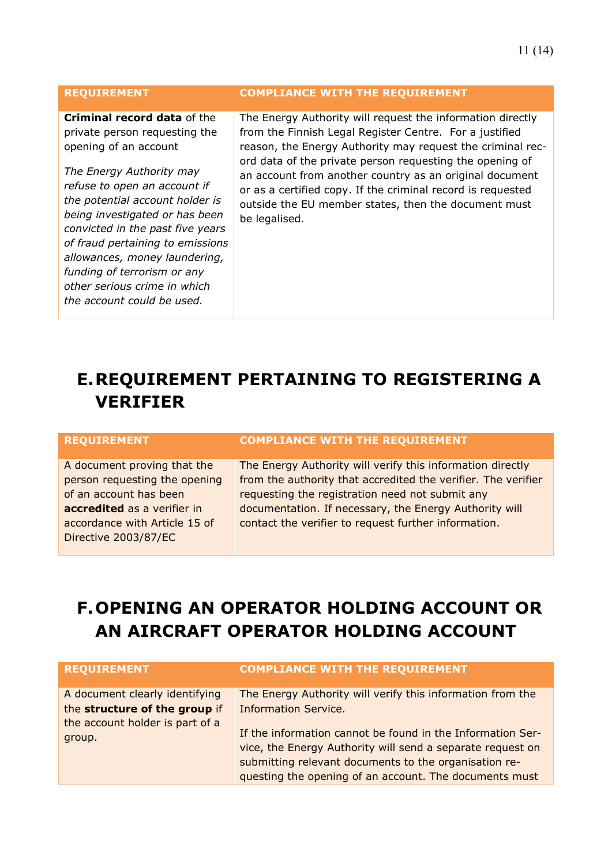### **REQUIREMENT COMPLIANCE WITH THE REQUIREMENT**

**Criminal record data** of the private person requesting the opening of an account

*The Energy Authority may refuse to open an account if the potential account holder is being investigated or has been convicted in the past five years of fraud pertaining to emissions allowances, money laundering, funding of terrorism or any other serious crime in which the account could be used.*

The Energy Authority will request the information directly from the Finnish Legal Register Centre. For a justified reason, the Energy Authority may request the criminal record data of the private person requesting the opening of an account from another country as an original document or as a certified copy. If the criminal record is requested outside the EU member states, then the document must be legalised.

### <span id="page-10-0"></span>**E.REQUIREMENT PERTAINING TO REGISTERING A VERIFIER**

A document proving that the person requesting the opening of an account has been **accredited** as a verifier in accordance with Article 15 of Directive 2003/87/EC

#### **REQUIREMENT COMPLIANCE WITH THE REQUIREMENT**

The Energy Authority will verify this information directly from the authority that accredited the verifier. The verifier requesting the registration need not submit any documentation. If necessary, the Energy Authority will contact the verifier to request further information.

### <span id="page-10-1"></span>**F.OPENING AN OPERATOR HOLDING ACCOUNT OR AN AIRCRAFT OPERATOR HOLDING ACCOUNT**

| <b>REQUIREMENT</b>                                              | <b>COMPLIANCE WITH THE REQUIREMENT</b>                                                                                                                                                                                                      |
|-----------------------------------------------------------------|---------------------------------------------------------------------------------------------------------------------------------------------------------------------------------------------------------------------------------------------|
| A document clearly identifying<br>the structure of the group if | The Energy Authority will verify this information from the<br><b>Information Service.</b>                                                                                                                                                   |
| the account holder is part of a<br>group.                       | If the information cannot be found in the Information Ser-<br>vice, the Energy Authority will send a separate request on<br>submitting relevant documents to the organisation re-<br>questing the opening of an account. The documents must |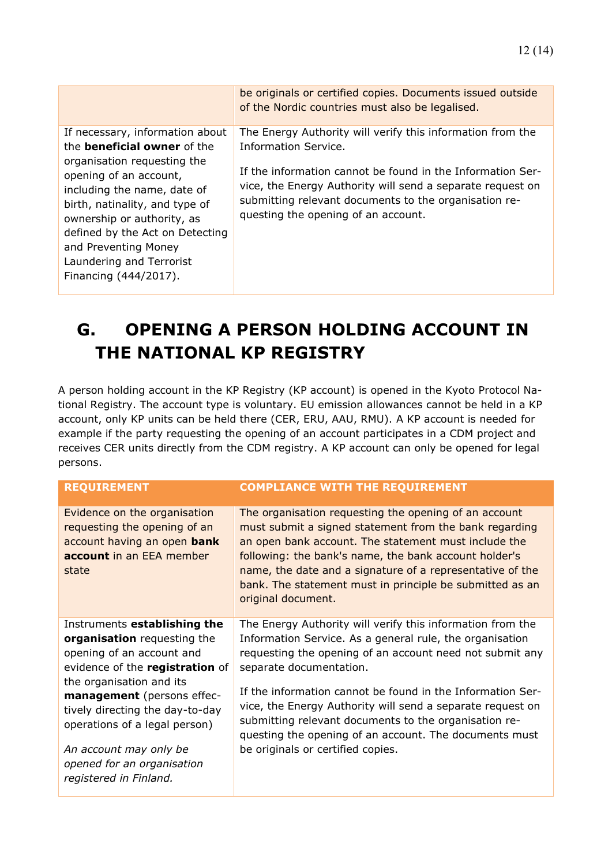|                                                                                                                                                                                                                                                                                                                                               | be originals or certified copies. Documents issued outside<br>of the Nordic countries must also be legalised.                                                                                                                                                                                                  |
|-----------------------------------------------------------------------------------------------------------------------------------------------------------------------------------------------------------------------------------------------------------------------------------------------------------------------------------------------|----------------------------------------------------------------------------------------------------------------------------------------------------------------------------------------------------------------------------------------------------------------------------------------------------------------|
| If necessary, information about<br>the <b>beneficial owner</b> of the<br>organisation requesting the<br>opening of an account,<br>including the name, date of<br>birth, natinality, and type of<br>ownership or authority, as<br>defined by the Act on Detecting<br>and Preventing Money<br>Laundering and Terrorist<br>Financing (444/2017). | The Energy Authority will verify this information from the<br>Information Service.<br>If the information cannot be found in the Information Ser-<br>vice, the Energy Authority will send a separate request on<br>submitting relevant documents to the organisation re-<br>questing the opening of an account. |

### <span id="page-11-0"></span>**G. OPENING A PERSON HOLDING ACCOUNT IN THE NATIONAL KP REGISTRY**

A person holding account in the KP Registry (KP account) is opened in the Kyoto Protocol National Registry. The account type is voluntary. EU emission allowances cannot be held in a KP account, only KP units can be held there (CER, ERU, AAU, RMU). A KP account is needed for example if the party requesting the opening of an account participates in a CDM project and receives CER units directly from the CDM registry. A KP account can only be opened for legal persons.

| <b>REQUIREMENT</b>                                                                                                               | <b>COMPLIANCE WITH THE REQUIREMENT</b>                                                                                                                                                                                                                                                                                                                                          |
|----------------------------------------------------------------------------------------------------------------------------------|---------------------------------------------------------------------------------------------------------------------------------------------------------------------------------------------------------------------------------------------------------------------------------------------------------------------------------------------------------------------------------|
| Evidence on the organisation<br>requesting the opening of an<br>account having an open bank<br>account in an EEA member<br>state | The organisation requesting the opening of an account<br>must submit a signed statement from the bank regarding<br>an open bank account. The statement must include the<br>following: the bank's name, the bank account holder's<br>name, the date and a signature of a representative of the<br>bank. The statement must in principle be submitted as an<br>original document. |
| Instruments establishing the                                                                                                     | The Energy Authority will verify this information from the                                                                                                                                                                                                                                                                                                                      |
| organisation requesting the<br>opening of an account and<br>evidence of the registration of                                      | Information Service. As a general rule, the organisation<br>requesting the opening of an account need not submit any<br>separate documentation.                                                                                                                                                                                                                                 |
| the organisation and its<br>management (persons effec-<br>tively directing the day-to-day<br>operations of a legal person)       | If the information cannot be found in the Information Ser-<br>vice, the Energy Authority will send a separate request on<br>submitting relevant documents to the organisation re-<br>questing the opening of an account. The documents must                                                                                                                                     |
| An account may only be<br>opened for an organisation<br>registered in Finland.                                                   | be originals or certified copies.                                                                                                                                                                                                                                                                                                                                               |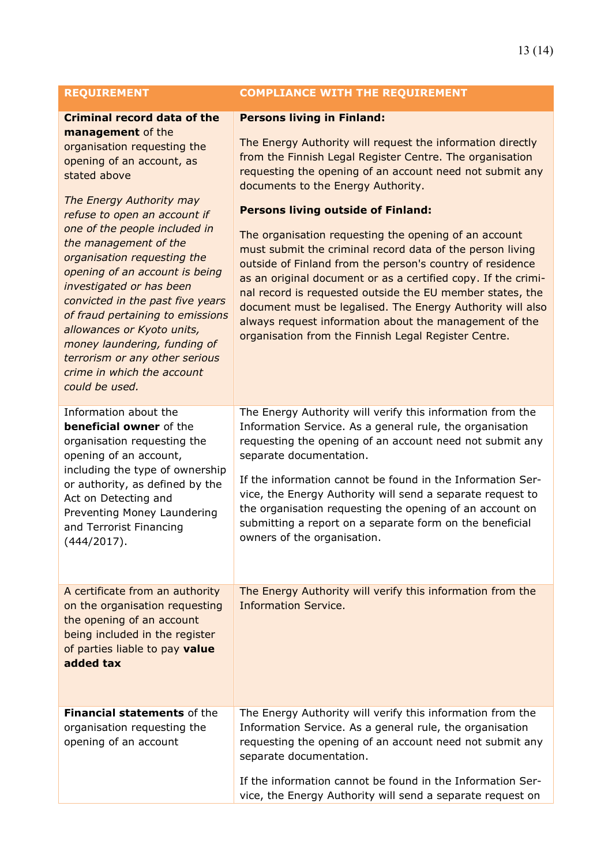### **REQUIREMENT COMPLIANCE WITH THE REQUIREMENT**

### **Criminal record data of the management** of the

organisation requesting the opening of an account, as stated above

*The Energy Authority may refuse to open an account if one of the people included in the management of the organisation requesting the opening of an account is being investigated or has been convicted in the past five years of fraud pertaining to emissions allowances or Kyoto units, money laundering, funding of terrorism or any other serious crime in which the account could be used.* Information about the

**beneficial owner** of the organisation requesting the opening of an account, including the type of ownership or authority, as defined by the Act on Detecting and Preventing Money Laundering and Terrorist Financing (444/2017).

A certificate from an authority on the organisation requesting the opening of an account being included in the register of parties liable to pay **value added tax**

**Financial statements** of the organisation requesting the opening of an account The Energy Authority will verify this information from the separate documentation. If the information cannot be found in the Information Ser-

vice, the Energy Authority will send a separate request on

|  |  | <b>Persons living in Finland:</b> |
|--|--|-----------------------------------|
|--|--|-----------------------------------|

The Energy Authority will request the information directly from the Finnish Legal Register Centre. The organisation requesting the opening of an account need not submit any documents to the Energy Authority.

#### **Persons living outside of Finland:**

The organisation requesting the opening of an account must submit the criminal record data of the person living outside of Finland from the person's country of residence as an original document or as a certified copy. If the criminal record is requested outside the EU member states, the document must be legalised. The Energy Authority will also always request information about the management of the organisation from the Finnish Legal Register Centre.

The Energy Authority will verify this information from the Information Service. As a general rule, the organisation requesting the opening of an account need not submit any separate documentation.

If the information cannot be found in the Information Service, the Energy Authority will send a separate request to the organisation requesting the opening of an account on submitting a report on a separate form on the beneficial owners of the organisation.

The Energy Authority will verify this information from the Information Service.

Information Service. As a general rule, the organisation requesting the opening of an account need not submit any